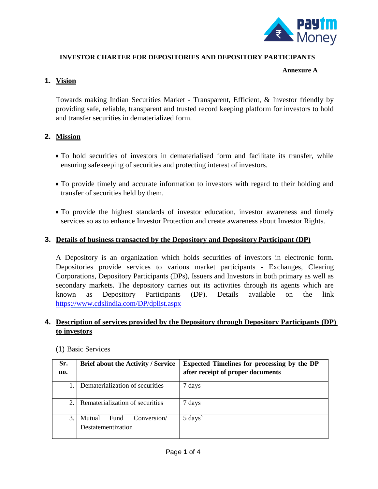

## **INVESTOR CHARTER FOR DEPOSITORIES AND DEPOSITORY PARTICIPANTS INVESTOR CHARTER FOR DEPOSITORIES AND DEPOSITORY PARTICIPANTS**

#### **Annexure A**

### **1. Vision**

Towards making Indian Securities Market - Transparent, Efficient, & Investor friendly by providing safe, reliable, transparent and trusted record keeping platform for investors to hold and transfer securities in dematerialized form.

## **2. Mission**

- To hold securities of investors in dematerialised form and facilitate its transfer, while ensuring safekeeping of securities and protecting interest of investors.
- To provide timely and accurate information to investors with regard to their holding and transfer of securities held by them.
- To provide the highest standards of investor education, investor awareness and timely services so as to enhance Investor Protection and create awareness about Investor Rights.

#### **3. Details of business transacted by the Depository and Depository Participant (DP)**

A Depository is an organization which holds securities of investors in electronic form. Depositories provide services to various market participants - Exchanges, Clearing Corporations, Depository Participants (DPs), Issuers and Investors in both primary as well as secondary markets. The depository carries out its activities through its agents which are known as Depository Participants (DP). Details available on the link https://www.cdslindia.com/DP/dplist.aspx

### **4. Description of services provided by the Depository through Depository Participants (DP) to investors**

| Sr.<br>no.    | <b>Brief about the Activity / Service</b>           | <b>Expected Timelines for processing by the DP</b><br>after receipt of proper documents |
|---------------|-----------------------------------------------------|-----------------------------------------------------------------------------------------|
|               | Dematerialization of securities                     | 7 days                                                                                  |
| 2.            | Rematerialization of securities                     | 7 days                                                                                  |
| $\mathcal{R}$ | Mutual<br>Conversion/<br>Fund<br>Destatementization | 5 days                                                                                  |

(1) Basic Services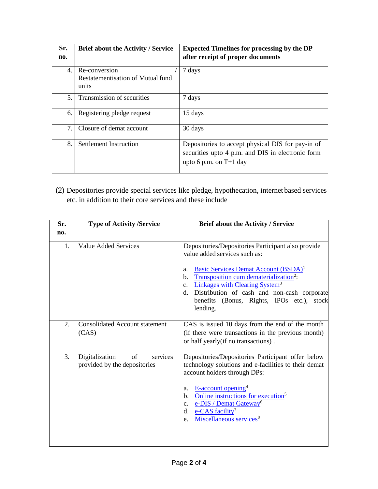| Sr.<br>no.                       | <b>Brief about the Activity / Service</b>                   | <b>Expected Timelines for processing by the DP</b><br>after receipt of proper documents                                            |
|----------------------------------|-------------------------------------------------------------|------------------------------------------------------------------------------------------------------------------------------------|
| $\mathbf{4}$ .                   | Re-conversion<br>Restatementisation of Mutual fund<br>units | 7 days                                                                                                                             |
| 5.                               | Transmission of securities                                  | 7 days                                                                                                                             |
| 6.                               | Registering pledge request                                  | 15 days                                                                                                                            |
| $7_{\scriptscriptstyle{\ddots}}$ | Closure of demat account                                    | 30 days                                                                                                                            |
| 8.                               | Settlement Instruction                                      | Depositories to accept physical DIS for pay-in of<br>securities upto 4 p.m. and DIS in electronic form<br>upto 6 p.m. on $T+1$ day |

(2) Depositories provide special services like pledge, hypothecation, internet based services etc. in addition to their core services and these include

| Sr. | <b>Type of Activity /Service</b>                                 | <b>Brief about the Activity / Service</b>                                                                                                                                                                                                                                                                                                                                                         |
|-----|------------------------------------------------------------------|---------------------------------------------------------------------------------------------------------------------------------------------------------------------------------------------------------------------------------------------------------------------------------------------------------------------------------------------------------------------------------------------------|
| no. |                                                                  |                                                                                                                                                                                                                                                                                                                                                                                                   |
| 1.  | <b>Value Added Services</b>                                      | Depositories/Depositories Participant also provide<br>value added services such as:<br>Basic Services Demat Account (BSDA) <sup>1</sup><br>a.<br>Transposition cum dematerialization <sup>2</sup> :<br>b.<br><b>Linkages with Clearing System<sup>3</sup></b><br>$\mathbf{c}$ .<br>Distribution of cash and non-cash corporate<br>d.<br>benefits (Bonus, Rights, IPOs etc.),<br>stock<br>lending. |
| 2.  | <b>Consolidated Account statement</b><br>(CAS)                   | CAS is issued 10 days from the end of the month<br>(if there were transactions in the previous month)<br>or half yearly (if no transactions).                                                                                                                                                                                                                                                     |
| 3.  | Digitalization<br>of<br>services<br>provided by the depositories | Depositories/Depositories Participant offer below<br>technology solutions and e-facilities to their demat<br>account holders through DPs:<br>E-account opening <sup>4</sup><br>a.<br>Online instructions for execution <sup>5</sup><br>$\mathbf{b}$ .<br>e-DIS / Demat Gateway <sup>6</sup><br>c.<br>e-CAS facility <sup>7</sup><br>d.<br>Miscellaneous services <sup>8</sup><br>e.               |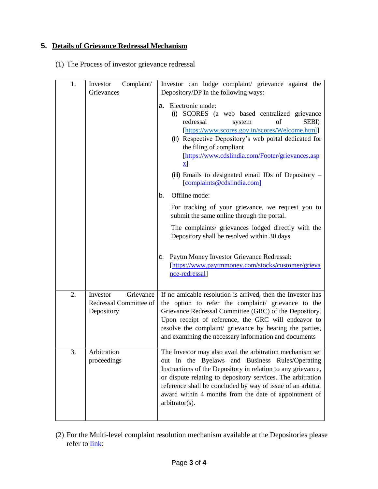## **5. Details of Grievance Redressal Mechanism**

(1) The Process of investor grievance redressal

| 1. | Complaint/<br>Investor<br>Grievances                          | Investor can lodge complaint/ grievance against the<br>Depository/DP in the following ways:                                                                                                                                                                                                                                                                                                                     |
|----|---------------------------------------------------------------|-----------------------------------------------------------------------------------------------------------------------------------------------------------------------------------------------------------------------------------------------------------------------------------------------------------------------------------------------------------------------------------------------------------------|
|    |                                                               | a. Electronic mode:<br>(i) SCORES (a web based centralized grievance<br>of<br>SEBI)<br>redressal<br>system<br>[https://www.scores.gov.in/scores/Welcome.html]<br>(ii) Respective Depository's web portal dedicated for<br>the filing of compliant<br>[https://www.cdslindia.com/Footer/grievances.asp<br>$\mathbf{x}$ ]<br>(iii) Emails to designated email IDs of Depository $-$<br>[complaints@cdslindia.com] |
|    |                                                               | Offline mode:<br>b.                                                                                                                                                                                                                                                                                                                                                                                             |
|    |                                                               | For tracking of your grievance, we request you to<br>submit the same online through the portal.                                                                                                                                                                                                                                                                                                                 |
|    |                                                               | The complaints/ grievances lodged directly with the<br>Depository shall be resolved within 30 days                                                                                                                                                                                                                                                                                                              |
|    |                                                               | Paytm Money Investor Grievance Redressal:<br>C.<br>[https://www.paytmmoney.com/stocks/customer/grieva<br>nce-redressal]                                                                                                                                                                                                                                                                                         |
| 2. | Grievance<br>Investor<br>Redressal Committee of<br>Depository | If no amicable resolution is arrived, then the Investor has<br>the option to refer the complaint/ grievance to the<br>Grievance Redressal Committee (GRC) of the Depository.<br>Upon receipt of reference, the GRC will endeavor to<br>resolve the complaint/ grievance by hearing the parties,<br>and examining the necessary information and documents                                                        |
| 3. | Arbitration<br>proceedings                                    | The Investor may also avail the arbitration mechanism set<br>out in the Byelaws and Business Rules/Operating<br>Instructions of the Depository in relation to any grievance,<br>or dispute relating to depository services. The arbitration<br>reference shall be concluded by way of issue of an arbitral<br>award within 4 months from the date of appointment of<br>arbitrator(s).                           |

(2) For the Multi-level complaint resolution mechanism available at the Depositories please refer to [link:](https://www.cdslindia.com/downloads/Investors/Complaint%20Resolution%20process%20at%20Depositories.pdf)